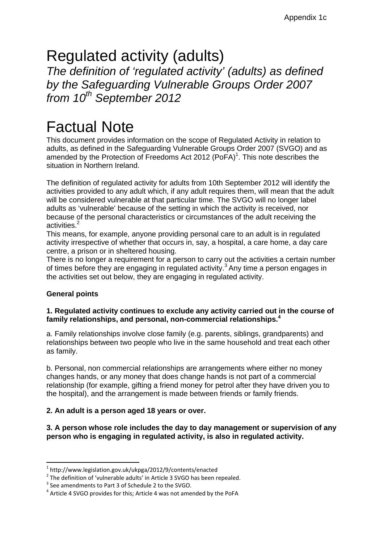# Regulated activity (adults)

*The definition of 'regulated activity' (adults) as defined by the Safeguarding Vulnerable Groups Order 2007 from 10th September 2012* 

# Factual Note

This document provides information on the scope of Regulated Activity in relation to adults, as defined in the Safeguarding Vulnerable Groups Order 2007 (SVGO) and as amended by the Protection of Freedoms Act 2012  $(PoFA)^1$ . This note describes the situation in Northern Ireland.

The definition of regulated activity for adults from 10th September 2012 will identify the activities provided to any adult which, if any adult requires them, will mean that the adult will be considered vulnerable at that particular time. The SVGO will no longer label adults as 'vulnerable' because of the setting in which the activity is received, nor because of the personal characteristics or circumstances of the adult receiving the activities.<sup>2</sup>

This means, for example, anyone providing personal care to an adult is in regulated activity irrespective of whether that occurs in, say, a hospital, a care home, a day care centre, a prison or in sheltered housing.

There is no longer a requirement for a person to carry out the activities a certain number of times before they are engaging in regulated activity.<sup>3</sup> Any time a person engages in the activities set out below, they are engaging in regulated activity.

# **General points**

# **1. Regulated activity continues to exclude any activity carried out in the course of family relationships, and personal, non-commercial relationships.4**

a. Family relationships involve close family (e.g. parents, siblings, grandparents) and relationships between two people who live in the same household and treat each other as family.

b. Personal, non commercial relationships are arrangements where either no money changes hands, or any money that does change hands is not part of a commercial relationship (for example, gifting a friend money for petrol after they have driven you to the hospital), and the arrangement is made between friends or family friends.

# **2. An adult is a person aged 18 years or over.**

**3. A person whose role includes the day to day management or supervision of any person who is engaging in regulated activity, is also in regulated activity.** 

<sup>&</sup>lt;sup>1</sup> http://www.legislation.gov.uk/ukpga/2012/9/contents/enacted<br>
<sup>2</sup> The definition of 'vulnerable adults' in Article 3 SVGO has been repealed.<br>
<sup>3</sup> See amendments to Part 3 of Schedule 2 to the SVGO.<br>
<sup>4</sup> Article 4 SVGO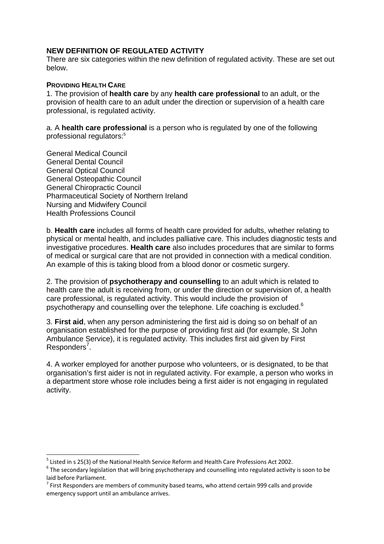### **NEW DEFINITION OF REGULATED ACTIVITY**

There are six categories within the new definition of regulated activity. These are set out below.

#### **PROVIDING HEALTH CARE**

1. The provision of **health care** by any **health care professional** to an adult, or the provision of health care to an adult under the direction or supervision of a health care professional, is regulated activity.

a. A **health care professional** is a person who is regulated by one of the following professional regulators:5

General Medical Council General Dental Council General Optical Council General Osteopathic Council General Chiropractic Council Pharmaceutical Society of Northern Ireland Nursing and Midwifery Council Health Professions Council

b. **Health care** includes all forms of health care provided for adults, whether relating to physical or mental health, and includes palliative care. This includes diagnostic tests and investigative procedures. **Health care** also includes procedures that are similar to forms of medical or surgical care that are not provided in connection with a medical condition. An example of this is taking blood from a blood donor or cosmetic surgery.

2. The provision of **psychotherapy and counselling** to an adult which is related to health care the adult is receiving from, or under the direction or supervision of, a health care professional, is regulated activity. This would include the provision of psychotherapy and counselling over the telephone. Life coaching is excluded.<sup>6</sup>

3. **First aid**, when any person administering the first aid is doing so on behalf of an organisation established for the purpose of providing first aid (for example, St John Ambulance Service), it is regulated activity. This includes first aid given by First Responders<sup>7</sup>.

4. A worker employed for another purpose who volunteers, or is designated, to be that organisation's first aider is not in regulated activity. For example, a person who works in a department store whose role includes being a first aider is not engaging in regulated activity.

<sup>&</sup>lt;sup>5</sup> Listed in s 25(3) of the National Health Service Reform and Health Care Professions Act 2002.<br><sup>6</sup> The secondary legislation that will bring psychotherapy and counselling into regulated activity is soon to be laid before Parliament.<br><sup>7</sup> First Responders are members of community based teams, who attend certain 999 calls and provide

emergency support until an ambulance arrives.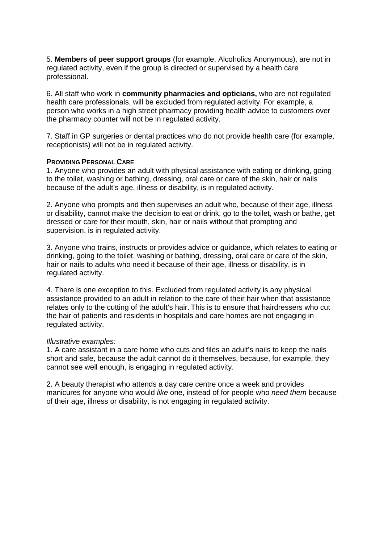5. **Members of peer support groups** (for example, Alcoholics Anonymous), are not in regulated activity, even if the group is directed or supervised by a health care professional.

6. All staff who work in **community pharmacies and opticians,** who are not regulated health care professionals, will be excluded from regulated activity. For example, a person who works in a high street pharmacy providing health advice to customers over the pharmacy counter will not be in regulated activity.

7. Staff in GP surgeries or dental practices who do not provide health care (for example, receptionists) will not be in regulated activity.

#### **PROVIDING PERSONAL CARE**

1. Anyone who provides an adult with physical assistance with eating or drinking, going to the toilet, washing or bathing, dressing, oral care or care of the skin, hair or nails because of the adult's age, illness or disability, is in regulated activity.

2. Anyone who prompts and then supervises an adult who, because of their age, illness or disability, cannot make the decision to eat or drink, go to the toilet, wash or bathe, get dressed or care for their mouth, skin, hair or nails without that prompting and supervision, is in regulated activity.

3. Anyone who trains, instructs or provides advice or guidance, which relates to eating or drinking, going to the toilet, washing or bathing, dressing, oral care or care of the skin, hair or nails to adults who need it because of their age, illness or disability, is in regulated activity.

4. There is one exception to this. Excluded from regulated activity is any physical assistance provided to an adult in relation to the care of their hair when that assistance relates only to the cutting of the adult's hair. This is to ensure that hairdressers who cut the hair of patients and residents in hospitals and care homes are not engaging in regulated activity.

#### *Illustrative examples:*

1. A care assistant in a care home who cuts and files an adult's nails to keep the nails short and safe, because the adult cannot do it themselves, because, for example, they cannot see well enough, is engaging in regulated activity.

2. A beauty therapist who attends a day care centre once a week and provides manicures for anyone who would *like* one, instead of for people who *need them* because of their age, illness or disability, is not engaging in regulated activity.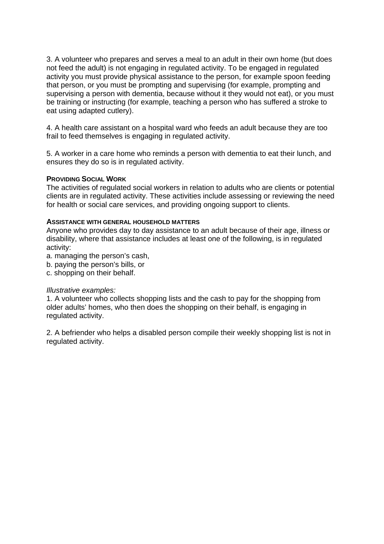3. A volunteer who prepares and serves a meal to an adult in their own home (but does not feed the adult) is not engaging in regulated activity. To be engaged in regulated activity you must provide physical assistance to the person, for example spoon feeding that person, or you must be prompting and supervising (for example, prompting and supervising a person with dementia, because without it they would not eat), or you must be training or instructing (for example, teaching a person who has suffered a stroke to eat using adapted cutlery).

4. A health care assistant on a hospital ward who feeds an adult because they are too frail to feed themselves is engaging in regulated activity.

5. A worker in a care home who reminds a person with dementia to eat their lunch, and ensures they do so is in regulated activity.

#### **PROVIDING SOCIAL WORK**

The activities of regulated social workers in relation to adults who are clients or potential clients are in regulated activity. These activities include assessing or reviewing the need for health or social care services, and providing ongoing support to clients.

#### **ASSISTANCE WITH GENERAL HOUSEHOLD MATTERS**

Anyone who provides day to day assistance to an adult because of their age, illness or disability, where that assistance includes at least one of the following, is in regulated activity:

- a. managing the person's cash,
- b. paying the person's bills, or
- c. shopping on their behalf.

#### *Illustrative examples:*

1. A volunteer who collects shopping lists and the cash to pay for the shopping from older adults' homes, who then does the shopping on their behalf, is engaging in regulated activity.

2. A befriender who helps a disabled person compile their weekly shopping list is not in regulated activity.